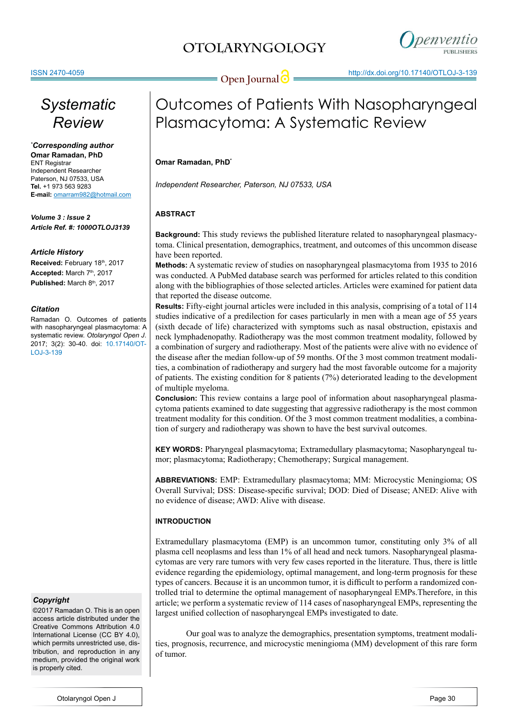



# *Systematic Review*

*\* Corresponding author* **Omar Ramadan, PhD** ENT Registrar Independent Researcher Paterson, NJ 07533, USA **Tel.** +1 973 563 9283 **E-mail:** omarram982@hotmail.com

*Volume 3 : Issue 2 Article Ref. #: 1000OTLOJ3139*

### *Article History*

Received: February 18th, 2017 Accepted: March 7<sup>th</sup>, 2017 Published: March 8<sup>th</sup>, 2017

### *Citation*

Ramadan O. Outcomes of patients with nasopharyngeal plasmacytoma: A systematic review. *Otolaryngol Open J*. 2017; 3(2): 30-40. doi: [10.17140/OT-](http://dx.doi.org/10.17140/OTLOJ-3-139)[LOJ-3-139](http://dx.doi.org/10.17140/OTLOJ-3-139)

### *Copyright*

©2017 Ramadan O. This is an open access article distributed under the Creative Commons Attribution 4.0 International License (CC BY 4.0), which permits unrestricted use, distribution, and reproduction in any medium, provided the original work is properly cited.

# Outcomes of Patients With Nasopharyngeal Plasmacytoma: A Systematic Review

### **Omar Ramadan, PhD\***

*Independent Researcher, Paterson, NJ 07533, USA*

### **ABSTRACT**

**Background:** This study reviews the published literature related to nasopharyngeal plasmacytoma. Clinical presentation, demographics, treatment, and outcomes of this uncommon disease have been reported.

**Methods:** A systematic review of studies on nasopharyngeal plasmacytoma from 1935 to 2016 was conducted. A PubMed database search was performed for articles related to this condition along with the bibliographies of those selected articles. Articles were examined for patient data that reported the disease outcome.

**Results:** Fifty-eight journal articles were included in this analysis, comprising of a total of 114 studies indicative of a predilection for cases particularly in men with a mean age of 55 years (sixth decade of life) characterized with symptoms such as nasal obstruction, epistaxis and neck lymphadenopathy. Radiotherapy was the most common treatment modality, followed by a combination of surgery and radiotherapy. Most of the patients were alive with no evidence of the disease after the median follow-up of 59 months. Of the 3 most common treatment modalities, a combination of radiotherapy and surgery had the most favorable outcome for a majority of patients. The existing condition for 8 patients (7%) deteriorated leading to the development of multiple myeloma.

**Conclusion:** This review contains a large pool of information about nasopharyngeal plasmacytoma patients examined to date suggesting that aggressive radiotherapy is the most common treatment modality for this condition. Of the 3 most common treatment modalities, a combination of surgery and radiotherapy was shown to have the best survival outcomes.

**KEY WORDS:** Pharyngeal plasmacytoma; Extramedullary plasmacytoma; Nasopharyngeal tumor; plasmacytoma; Radiotherapy; Chemotherapy; Surgical management.

**ABBREVIATIONS:** EMP: Extramedullary plasmacytoma; MM: Microcystic Meningioma; OS Overall Survival; DSS: Disease-specific survival; DOD: Died of Disease; ANED: Alive with no evidence of disease; AWD: Alive with disease.

### **INTRODUCTION**

Extramedullary plasmacytoma (EMP) is an uncommon tumor, constituting only 3% of all plasma cell neoplasms and less than 1% of all head and neck tumors. Nasopharyngeal plasmacytomas are very rare tumors with very few cases reported in the literature. Thus, there is little evidence regarding the epidemiology, optimal management, and long-term prognosis for these types of cancers. Because it is an uncommon tumor, it is difficult to perform a randomized controlled trial to determine the optimal management of nasopharyngeal EMPs.Therefore, in this article; we perform a systematic review of 114 cases of nasopharyngeal EMPs, representing the largest unified collection of nasopharyngeal EMPs investigated to date.

Our goal was to analyze the demographics, presentation symptoms, treatment modalities, prognosis, recurrence, and microcystic meningioma (MM) development of this rare form of tumor.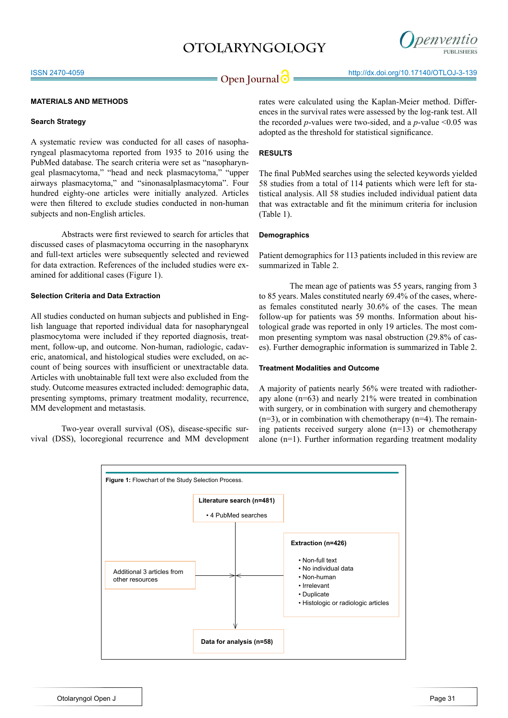

#### **MATERIALS AND METHODS**

#### **Search Strategy**

A systematic review was conducted for all cases of nasopharyngeal plasmacytoma reported from 1935 to 2016 using the PubMed database. The search criteria were set as "nasopharyngeal plasmacytoma," "head and neck plasmacytoma," "upper airways plasmacytoma," and "sinonasalplasmacytoma". Four hundred eighty-one articles were initially analyzed. Articles were then filtered to exclude studies conducted in non-human subjects and non-English articles.

Abstracts were first reviewed to search for articles that discussed cases of plasmacytoma occurring in the nasopharynx and full-text articles were subsequently selected and reviewed for data extraction. References of the included studies were examined for additional cases (Figure 1).

### **Selection Criteria and Data Extraction**

All studies conducted on human subjects and published in English language that reported individual data for nasopharyngeal plasmocytoma were included if they reported diagnosis, treatment, follow-up, and outcome. Non-human, radiologic, cadaveric, anatomical, and histological studies were excluded, on account of being sources with insufficient or unextractable data. Articles with unobtainable full text were also excluded from the study. Outcome measures extracted included: demographic data, presenting symptoms, primary treatment modality, recurrence, MM development and metastasis.

Two-year overall survival (OS), disease-specific survival (DSS), locoregional recurrence and MM development rates were calculated using the Kaplan-Meier method. Differences in the survival rates were assessed by the log-rank test. All the recorded  $p$ -values were two-sided, and a  $p$ -value <0.05 was adopted as the threshold for statistical significance.

### **RESULTS**

The final PubMed searches using the selected keywords yielded 58 studies from a total of 114 patients which were left for statistical analysis. All 58 studies included individual patient data that was extractable and fit the minimum criteria for inclusion (Table 1).

#### **Demographics**

Patient demographics for 113 patients included in this review are summarized in Table 2.

The mean age of patients was 55 years, ranging from 3 to 85 years. Males constituted nearly 69.4% of the cases, whereas females constituted nearly 30.6% of the cases. The mean follow-up for patients was 59 months. Information about histological grade was reported in only 19 articles. The most common presenting symptom was nasal obstruction (29.8% of cases). Further demographic information is summarized in Table 2.

### **Treatment Modalities and Outcome**

A majority of patients nearly 56% were treated with radiotherapy alone (n=63) and nearly 21% were treated in combination with surgery, or in combination with surgery and chemotherapy  $(n=3)$ , or in combination with chemotherapy  $(n=4)$ . The remaining patients received surgery alone (n=13) or chemotherapy alone (n=1). Further information regarding treatment modality

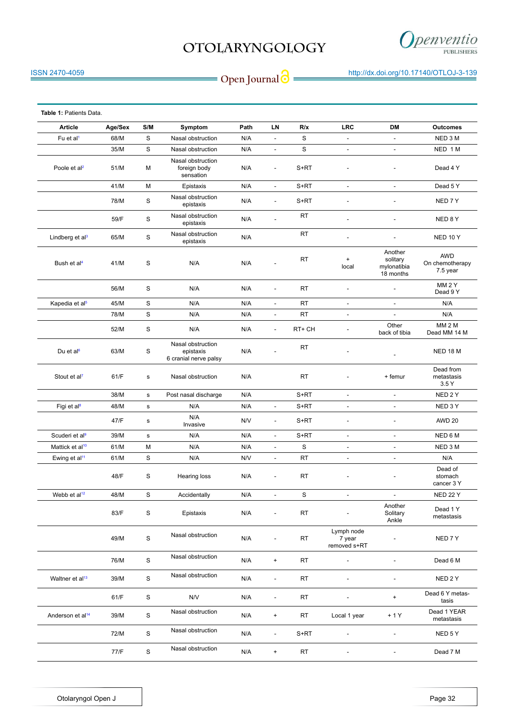

**Open Journal @** http://dx.doi.org/10.17140/OTLOJ-3-139

| Table 1: Patients Data.      |         |               |                                                         |      |                          |           |                                      |                                                 |                                           |
|------------------------------|---------|---------------|---------------------------------------------------------|------|--------------------------|-----------|--------------------------------------|-------------------------------------------------|-------------------------------------------|
| Article                      | Age/Sex | S/M           | Symptom                                                 | Path | LN                       | R/x       | <b>LRC</b>                           | DM                                              | <b>Outcomes</b>                           |
| Fu et al <sup>1</sup>        | 68/M    | S             | Nasal obstruction                                       | N/A  | $\overline{\phantom{a}}$ | S         | $\frac{1}{2}$                        | $\overline{\phantom{a}}$                        | NED 3 M                                   |
|                              | 35/M    | $\mathbf S$   | Nasal obstruction                                       | N/A  | $\blacksquare$           | S         | $\blacksquare$                       | $\blacksquare$                                  | NED 1 M                                   |
| Poole et al <sup>2</sup>     | 51/M    | М             | Nasal obstruction<br>foreign body<br>sensation          | N/A  | $\overline{\phantom{a}}$ | $S+RT$    |                                      |                                                 | Dead 4 Y                                  |
|                              | 41/M    | M             | Epistaxis                                               | N/A  | $\overline{\phantom{a}}$ | S+RT      | $\overline{\phantom{a}}$             | $\overline{\phantom{a}}$                        | Dead 5Y                                   |
|                              | 78/M    | S             | Nasal obstruction<br>epistaxis                          | N/A  | $\overline{\phantom{a}}$ | S+RT      |                                      |                                                 | NED 7 Y                                   |
|                              | 59/F    | S             | Nasal obstruction<br>epistaxis                          | N/A  | $\overline{a}$           | <b>RT</b> |                                      |                                                 | NED 8 Y                                   |
| Lindberg et al <sup>3</sup>  | 65/M    | S             | Nasal obstruction<br>epistaxis                          | N/A  |                          | <b>RT</b> | ÷,                                   | ÷                                               | <b>NED 10 Y</b>                           |
| Bush et al <sup>4</sup>      | 41/M    | S             | N/A                                                     | N/A  |                          | RT        | $\pmb{+}$<br>local                   | Another<br>solitary<br>mylonatibia<br>18 months | <b>AWD</b><br>On chemotherapy<br>7.5 year |
|                              | 56/M    | S             | N/A                                                     | N/A  | $\overline{a}$           | RT.       | $\overline{a}$                       | $\overline{\phantom{a}}$                        | MM <sub>2</sub> Y<br>Dead 9 Y             |
| Kapedia et al <sup>5</sup>   | 45/M    | S             | N/A                                                     | N/A  | $\overline{\phantom{a}}$ | <b>RT</b> | $\blacksquare$                       | $\overline{\phantom{a}}$                        | N/A                                       |
|                              | 78/M    | S             | N/A                                                     | N/A  | $\overline{\phantom{a}}$ | RT        | $\qquad \qquad \blacksquare$         | $\overline{\phantom{a}}$                        | N/A                                       |
|                              | 52/M    | S             | N/A                                                     | N/A  | $\overline{\phantom{a}}$ | RT+ CH    | $\overline{a}$                       | Other<br>back of tibia                          | <b>MM 2 M</b><br>Dead MM 14 M             |
| Du et al $6$                 | 63/M    | S             | Nasal obstruction<br>epistaxis<br>6 cranial nerve palsy | N/A  | $\overline{a}$           | <b>RT</b> |                                      |                                                 | <b>NED 18 M</b>                           |
| Stout et al <sup>7</sup>     | 61/F    | s             | Nasal obstruction                                       | N/A  |                          | RT        |                                      | + femur                                         | Dead from<br>metastasis<br>3.5Y           |
|                              | 38/M    | s             | Post nasal discharge                                    | N/A  |                          | $S+RT$    | $\blacksquare$                       | $\frac{1}{2}$                                   | NED 2Y                                    |
| Figi et al <sup>8</sup>      | 48/M    | $\mathbf s$   | N/A                                                     | N/A  | $\overline{\phantom{a}}$ | S+RT      | $\overline{\phantom{a}}$             | $\overline{\phantom{a}}$                        | NED 3Y                                    |
|                              | 47/F    | $\mathbf s$   | N/A<br>Invasive                                         | N/V  | $\overline{\phantom{a}}$ | S+RT      | $\overline{a}$                       | $\overline{a}$                                  | <b>AWD 20</b>                             |
| Scuderi et al <sup>9</sup>   | 39/M    | s             | N/A                                                     | N/A  | $\overline{\phantom{a}}$ | S+RT      | $\overline{a}$                       | $\overline{a}$                                  | NED 6 M                                   |
| Mattick et al <sup>10</sup>  | 61/M    | М             | N/A                                                     | N/A  | $\overline{\phantom{a}}$ | S         | $\qquad \qquad \blacksquare$         | $\qquad \qquad \blacksquare$                    | NED 3 M                                   |
| Ewing et al <sup>11</sup>    | 61/M    | S             | N/A                                                     | N/V  | $\overline{\phantom{a}}$ | RT        | $\overline{\phantom{a}}$             | $\blacksquare$                                  | N/A                                       |
|                              | 48/F    | S             | Hearing loss                                            | N/A  |                          | RT        |                                      |                                                 | Dead of<br>stomach<br>cancer 3 Y          |
| Webb et al <sup>12</sup>     | 48/M    | S             | Accidentally                                            | N/A  | ÷,                       | S         | $\overline{\phantom{a}}$             | $\overline{\phantom{a}}$                        | <b>NED 22 Y</b>                           |
|                              | 83/F    | $\mathbf S$   | Epistaxis                                               | N/A  |                          | RT        |                                      | Another<br>Solitary<br>Ankle                    | Dead 1 Y<br>metastasis                    |
|                              | 49/M    | $\mathbf S$   | Nasal obstruction                                       | N/A  |                          | <b>RT</b> | Lymph node<br>7 year<br>removed s+RT |                                                 | NED 7 Y                                   |
|                              | 76/M    | $\mathbf S$   | Nasal obstruction                                       | N/A  | $\ddot{}$                | <b>RT</b> | ÷,                                   | L,                                              | Dead 6 M                                  |
| Waltner et al <sup>13</sup>  | 39/M    | ${\mathbb S}$ | Nasal obstruction                                       | N/A  | $\overline{\phantom{a}}$ | RT        |                                      | $\overline{\phantom{a}}$                        | NED 2 Y                                   |
|                              | 61/F    | $\mathbf S$   | N/V                                                     | N/A  | $\overline{\phantom{a}}$ | <b>RT</b> |                                      | $+$                                             | Dead 6 Y metas-<br>tasis                  |
| Anderson et al <sup>14</sup> | 39/M    | S             | Nasal obstruction                                       | N/A  | $\bf{+}$                 | <b>RT</b> | Local 1 year                         | $+1Y$                                           | Dead 1 YEAR<br>metastasis                 |
|                              | 72/M    | S             | Nasal obstruction                                       | N/A  | $\overline{\phantom{a}}$ | S+RT      |                                      | $\overline{a}$                                  | NED 5 Y                                   |
|                              | 77/F    | S             | Nasal obstruction                                       | N/A  | $\bf{+}$                 | <b>RT</b> |                                      | $\overline{a}$                                  | Dead 7 M                                  |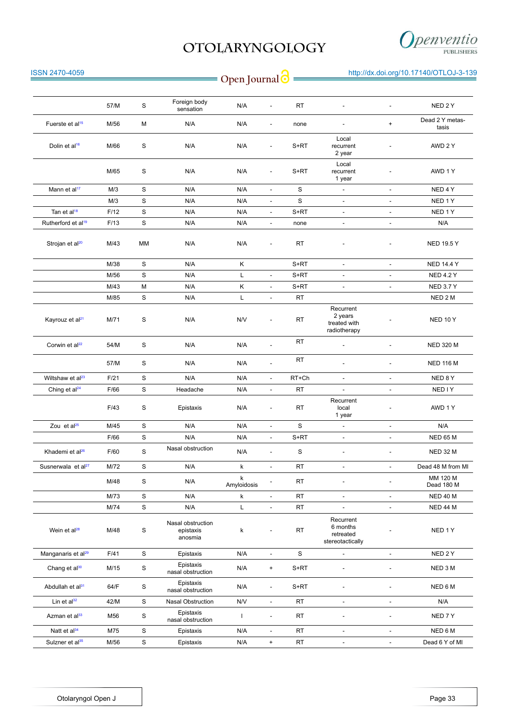

| <b>ISSN 2470-4059</b>          |      |    |                                           | Open Journal <sup>O</sup> |                          |           |                                                        |                          | http://dx.doi.org/10.17140/OTLOJ-3-139 |
|--------------------------------|------|----|-------------------------------------------|---------------------------|--------------------------|-----------|--------------------------------------------------------|--------------------------|----------------------------------------|
|                                |      |    |                                           |                           |                          |           |                                                        |                          |                                        |
|                                | 57/M | S  | Foreign body<br>sensation                 | N/A                       | $\overline{\phantom{a}}$ | <b>RT</b> | $\overline{a}$                                         | $\overline{\phantom{a}}$ | NED <sub>2Y</sub>                      |
| Fuerste et al <sup>15</sup>    | M/56 | M  | N/A                                       | N/A                       | $\overline{\phantom{a}}$ | none      | L,                                                     | $\pmb{+}$                | Dead 2 Y metas-<br>tasis               |
| Dolin et al <sup>16</sup>      | M/66 | S  | N/A                                       | N/A                       | $\overline{\phantom{a}}$ | $S+RT$    | Local<br>recurrent<br>2 year                           |                          | AWD 2 Y                                |
|                                | M/65 | S  | N/A                                       | N/A                       | $\overline{\phantom{a}}$ | $S+RT$    | Local<br>recurrent<br>1 year                           |                          | AWD 1Y                                 |
| Mann et al <sup>17</sup>       | M/3  | S  | N/A                                       | N/A                       | $\overline{\phantom{a}}$ | S         | $\overline{\phantom{a}}$                               | $\overline{\phantom{a}}$ | NED 4Y                                 |
|                                | M/3  | S  | N/A                                       | N/A                       | $\overline{\phantom{a}}$ | S         | ۰                                                      | $\overline{\phantom{a}}$ | NED 1Y                                 |
| Tan et al <sup>18</sup>        | F/12 | S  | N/A                                       | N/A                       | $\overline{\phantom{a}}$ | S+RT      | $\overline{\phantom{a}}$                               | $\overline{\phantom{a}}$ | NED 1Y                                 |
| Rutherford et al <sup>19</sup> | F/13 | S  | N/A                                       | N/A                       | $\blacksquare$           | none      | ÷                                                      | $\overline{\phantom{a}}$ | N/A                                    |
| Strojan et al <sup>20</sup>    | M/43 | MM | N/A                                       | N/A                       |                          | <b>RT</b> |                                                        |                          | <b>NED 19.5 Y</b>                      |
|                                | M/38 | S  | N/A                                       | Κ                         |                          | S+RT      | $\overline{\phantom{a}}$                               | $\overline{\phantom{a}}$ | <b>NED 14.4 Y</b>                      |
|                                | M/56 | S  | N/A                                       | Г                         | $\blacksquare$           | S+RT      | ÷,                                                     | ÷,                       | <b>NED 4.2 Y</b>                       |
|                                | M/43 | M  | N/A                                       | Κ                         | $\overline{\phantom{a}}$ | $S+RT$    | $\overline{\phantom{a}}$                               | $\overline{\phantom{a}}$ | <b>NED 3.7 Y</b>                       |
|                                | M/85 | S  | N/A                                       | Г                         | ÷                        | <b>RT</b> |                                                        |                          | NED 2 M                                |
| Kayrouz et al <sup>21</sup>    | M/71 | S  | N/A                                       | N/V                       | $\overline{\phantom{a}}$ | <b>RT</b> | Recurrent<br>2 years<br>treated with<br>radiotherapy   |                          | <b>NED 10 Y</b>                        |
| Corwin et al <sup>22</sup>     | 54/M | S  | N/A                                       | N/A                       | $\overline{\phantom{a}}$ | <b>RT</b> |                                                        |                          | <b>NED 320 M</b>                       |
|                                | 57/M | S  | N/A                                       | N/A                       | $\overline{\phantom{a}}$ | RT        |                                                        |                          | <b>NED 116 M</b>                       |
| Wiltshaw et al <sup>23</sup>   | F/21 | S  | N/A                                       | N/A                       | $\overline{\phantom{a}}$ | RT+Ch     | $\overline{\phantom{a}}$                               | $\overline{\phantom{a}}$ | NED 8Y                                 |
| Ching et al <sup>24</sup>      | F/66 | S  | Headache                                  | N/A                       | $\sim$                   | <b>RT</b> | ÷                                                      | $\overline{\phantom{a}}$ | NED I Y                                |
|                                | F/43 | S  | Epistaxis                                 | N/A                       | $\overline{\phantom{a}}$ | <b>RT</b> | Recurrent<br>local<br>1 year                           |                          | AWD 1Y                                 |
| Zou et al <sup>25</sup>        | M/45 | S  | N/A                                       | N/A                       | $\blacksquare$           | S         | $\qquad \qquad \blacksquare$                           | $\overline{\phantom{a}}$ | N/A                                    |
|                                | F/66 | S  | N/A                                       | N/A                       | ÷                        | S+RT      | $\qquad \qquad \blacksquare$                           | $\overline{\phantom{a}}$ | <b>NED 65 M</b>                        |
| Khademi et al <sup>26</sup>    | F/60 | S  | Nasal obstruction                         | N/A                       | $\overline{\phantom{a}}$ | S         | ٠.                                                     |                          | NED 32 M                               |
| Susnerwala et al <sup>27</sup> | M/72 | S  | N/A                                       | k                         | $\overline{\phantom{a}}$ | RT        | $\overline{\phantom{a}}$                               | $\overline{\phantom{a}}$ | Dead 48 M from MI                      |
|                                | M/48 | S  | N/A                                       | k<br>Amyloidosis          |                          | RT        |                                                        |                          | MM 120 M<br>Dead 180 M                 |
|                                | M/73 | S  | N/A                                       | k                         | $\overline{\phantom{a}}$ | <b>RT</b> | $\overline{\phantom{a}}$                               | $\overline{\phantom{a}}$ | <b>NED 40 M</b>                        |
|                                | M/74 | S  | N/A                                       | Г                         | $\blacksquare$           | <b>RT</b> | $\overline{\phantom{a}}$                               | $\overline{\phantom{a}}$ | <b>NED 44 M</b>                        |
| Wein et al <sup>28</sup>       | M/48 | S  | Nasal obstruction<br>epistaxis<br>anosmia | k                         | $\overline{\phantom{a}}$ | RT        | Recurrent<br>6 months<br>retreated<br>stereotactically |                          | NED 1Y                                 |
| Manganaris et al <sup>29</sup> | F/41 | S  | Epistaxis                                 | N/A                       | $\blacksquare$           | $\rm s$   | $\blacksquare$                                         | $\overline{\phantom{a}}$ | NED 2Y                                 |
| Chang et al <sup>30</sup>      | M/15 | S  | Epistaxis<br>nasal obstruction            | N/A                       | $\ddot{}$                | $S+RT$    | $\qquad \qquad \blacksquare$                           |                          | NED 3 M                                |
| Abdullah et al <sup>31</sup>   | 64/F | S  | Epistaxis<br>nasal obstruction            | N/A                       | $\overline{\phantom{a}}$ | $S+RT$    |                                                        |                          | NED 6 M                                |
| Lin et $al^{32}$               | 42/M | S  | Nasal Obstruction                         | N/V                       | $\omega$                 | RT        | $\overline{\phantom{a}}$                               | $\overline{\phantom{a}}$ | N/A                                    |
| Azman et al <sup>33</sup>      | M56  | S  | Epistaxis<br>nasal obstruction            | L                         | $\overline{\phantom{a}}$ | RT        |                                                        |                          | NED <sub>7</sub> Y                     |
| Natt et al <sup>34</sup>       | M75  | S  | Epistaxis                                 | N/A                       | $\blacksquare$           | RT        | $\overline{\phantom{a}}$                               | $\overline{\phantom{a}}$ | NED 6 M                                |
| Sulzner et al <sup>35</sup>    | M/56 | S  | Epistaxis                                 | N/A                       | $\ddot{}$                | RT        |                                                        | $\overline{\phantom{a}}$ | Dead 6 Y of MI                         |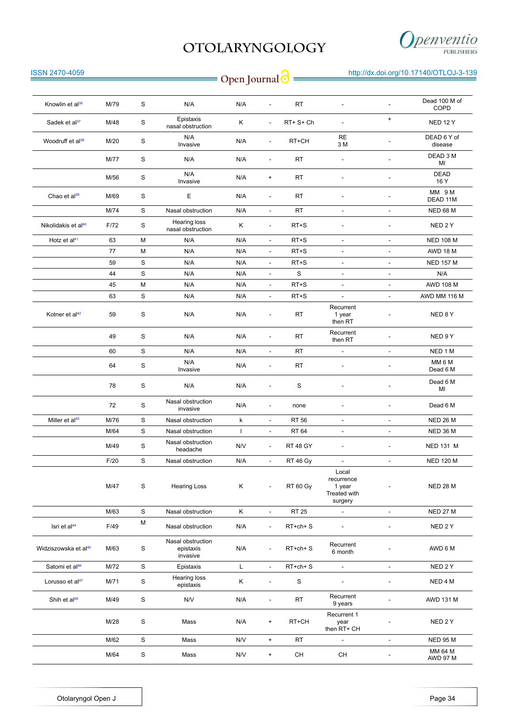

| <b>ISSN 2470-4059</b>            |      |               |                                            | Open Journal <sup>o</sup> |                                  |                 |                                                          |                          | http://dx.doi.org/10.17140/OTLOJ-3-139 |
|----------------------------------|------|---------------|--------------------------------------------|---------------------------|----------------------------------|-----------------|----------------------------------------------------------|--------------------------|----------------------------------------|
| Knowlin et al <sup>36</sup>      | M/79 | S             | N/A                                        | N/A                       | $\overline{a}$                   | RT.             |                                                          | $\overline{\phantom{a}}$ | Dead 100 M of                          |
| Sadek et al <sup>37</sup>        | M/48 | $\mathbf S$   | Epistaxis                                  | Κ                         | $\overline{\phantom{a}}$         | RT+ S+ Ch       | $\overline{\phantom{a}}$                                 | $\pmb{+}$                | COPD<br><b>NED 12 Y</b>                |
| Woodruff et al <sup>38</sup>     | M/20 | S             | nasal obstruction<br>N/A                   | N/A                       | $\overline{\phantom{a}}$         | RT+CH           | <b>RE</b>                                                |                          | DEAD 6 Y of                            |
|                                  | M/77 | S             | Invasive<br>N/A                            | N/A                       | ٠                                | <b>RT</b>       | 3 M                                                      | $\overline{a}$           | disease<br>DEAD 3 M<br>MI              |
|                                  | M/56 | S             | N/A<br>Invasive                            | N/A                       | $\ddot{}$                        | RT              |                                                          | $\overline{a}$           | <b>DEAD</b><br>16 Y                    |
| Chao et al <sup>39</sup>         | M/69 | S             | Е                                          | N/A                       | $\overline{\phantom{a}}$         | RT              | $\blacksquare$                                           | $\overline{\phantom{a}}$ | MM 9M<br>DEAD 11M                      |
|                                  | M/74 | S             | Nasal obstruction                          | N/A                       | $\overline{\phantom{a}}$         | <b>RT</b>       | $\overline{\phantom{a}}$                                 | $\overline{\phantom{a}}$ | <b>NED 68 M</b>                        |
| Nikolidakis et al <sup>40</sup>  | F/72 | S             | Hearing loss<br>nasal obstruction          | Κ                         | $\overline{\phantom{a}}$         | RT+S            |                                                          | $\overline{\phantom{a}}$ | NED 2 Y                                |
| Hotz et al <sup>41</sup>         | 63   | М             | N/A                                        | N/A                       | $\overline{\phantom{a}}$         | RT+S            | $\overline{\phantom{a}}$                                 | $\overline{\phantom{a}}$ | <b>NED 108 M</b>                       |
|                                  | 77   | М             | N/A                                        | N/A                       | $\overline{\phantom{a}}$         | RT+S            | $\overline{\phantom{a}}$                                 | $\overline{\phantom{a}}$ | AWD 18 M                               |
|                                  | 59   | S             | N/A                                        | N/A                       | $\overline{\phantom{a}}$         | RT+S            | $\overline{\phantom{a}}$                                 | $\overline{\phantom{a}}$ | <b>NED 157 M</b>                       |
|                                  | 44   | S             | N/A                                        | N/A                       | $\overline{a}$                   | S               | $\overline{\phantom{a}}$                                 | $\overline{\phantom{a}}$ | N/A                                    |
|                                  | 45   | M             | N/A                                        | N/A                       | $\blacksquare$                   | RT+S            | $\overline{\phantom{a}}$                                 | $\overline{\phantom{a}}$ | <b>AWD 108 M</b>                       |
|                                  | 63   | S             | N/A                                        | N/A                       | $\overline{\phantom{a}}$         | RT+S            | $\overline{\phantom{a}}$                                 | $\overline{\phantom{a}}$ | AWD MM 116 M                           |
| Kotner et al <sup>42</sup>       | 59   | S             | N/A                                        | N/A                       | $\overline{a}$                   | <b>RT</b>       | Recurrent<br>1 year<br>then RT                           |                          | NED 8Y                                 |
|                                  | 49   | S             | N/A                                        | N/A                       | $\overline{\phantom{a}}$         | <b>RT</b>       | Recurrent<br>then RT                                     |                          | NED 9 Y                                |
|                                  | 60   | S             | N/A                                        | N/A                       | $\overline{\phantom{a}}$         | <b>RT</b>       | $\overline{\phantom{a}}$                                 | $\blacksquare$           | NED 1 M                                |
|                                  | 64   | $\mathbf S$   | N/A<br>Invasive                            | N/A                       | $\overline{\phantom{a}}$         | <b>RT</b>       |                                                          | $\overline{\phantom{a}}$ | MM 6 M<br>Dead 6 M                     |
|                                  | 78   | S             | N/A                                        | N/A                       | $\overline{a}$                   | S               |                                                          | $\overline{a}$           | Dead 6 M<br>ΜI                         |
|                                  | 72   | S             | Nasal obstruction<br>invasive              | N/A                       | $\overline{a}$                   | none            |                                                          |                          | Dead 6 M                               |
| Miller et al <sup>43</sup>       | M/76 | S             | Nasal obstruction                          | k                         | $\overline{\phantom{a}}$         | <b>RT 56</b>    | $\overline{\phantom{a}}$                                 | $\overline{\phantom{a}}$ | <b>NED 26 M</b>                        |
|                                  | M/64 | S             | Nasal obstruction                          | $\mathbf{I}$              | $\overline{\phantom{a}}$         | RT 64           | $\overline{\phantom{a}}$                                 | $\overline{a}$           | <b>NED 36 M</b>                        |
|                                  | M/49 | S             | Nasal obstruction<br>headache              | N/V                       | $\overline{\phantom{a}}$         | <b>RT 48 GY</b> |                                                          |                          | <b>NED 131 M</b>                       |
|                                  | F/20 | S             | Nasal obstruction                          | N/A                       | $\overline{\phantom{a}}$         | RT 46 Gy        | $\blacksquare$                                           | ÷,                       | <b>NED 120 M</b>                       |
|                                  | M/47 | ${\mathbb S}$ | <b>Hearing Loss</b>                        | Κ                         | $\overline{\phantom{a}}$         | RT 60 Gy        | Local<br>recurrence<br>1 year<br>Treated with<br>surgery |                          | <b>NED 28 M</b>                        |
|                                  | M/63 | S             | Nasal obstruction                          | Κ                         | $\overline{\phantom{a}}$         | <b>RT 25</b>    | $\overline{\phantom{a}}$                                 | $\overline{\phantom{a}}$ | <b>NED 27 M</b>                        |
| Isri et al <sup>44</sup>         | F/49 | М             | Nasal obstruction                          | N/A                       | $\overline{\phantom{a}}$         | RT+ch+ S        | $\overline{\phantom{a}}$                                 | $\overline{\phantom{a}}$ | NED 2Y                                 |
| Widziszowska et al <sup>45</sup> | M/63 | S             | Nasal obstruction<br>epistaxis<br>invasive | N/A                       | $\overline{a}$                   | RT+ch+ S        | Recurrent<br>6 month                                     |                          | AWD 6 M                                |
| Satomi et al <sup>46</sup>       | M/72 | S             | Epistaxis                                  | L                         | $\overline{\phantom{a}}$         | $RT+ch+S$       | $\sim$                                                   | $\blacksquare$           | NED 2 Y                                |
| Lorusso et al <sup>47</sup>      | M/71 | $\mathbb S$   | Hearing loss<br>epistaxis                  | Κ                         | ÷,                               | $\mathbb S$     | $\overline{\phantom{a}}$                                 | ÷,                       | NED 4 M                                |
| Shih et al <sup>48</sup>         | M/49 | ${\mathsf S}$ | N/V                                        | N/A                       | $\overline{\phantom{a}}$         | RT              | Recurrent<br>9 years                                     | $\overline{a}$           | AWD 131 M                              |
|                                  | M/28 | S             | Mass                                       | N/A                       | $\begin{array}{c} + \end{array}$ | RT+CH           | Recurrent 1<br>year<br>then RT+ CH                       |                          | NED 2 Y                                |
|                                  | M/62 | $\mathbb S$   | Mass                                       | N/V                       | $+$                              | <b>RT</b>       | $\blacksquare$                                           | $\blacksquare$           | <b>NED 95 M</b>                        |
|                                  | M/64 | $\mathbb S$   | Mass                                       | N/V                       | $+$                              | CH              | CH                                                       | $\blacksquare$           | MM 64 M<br><b>AWD 97 M</b>             |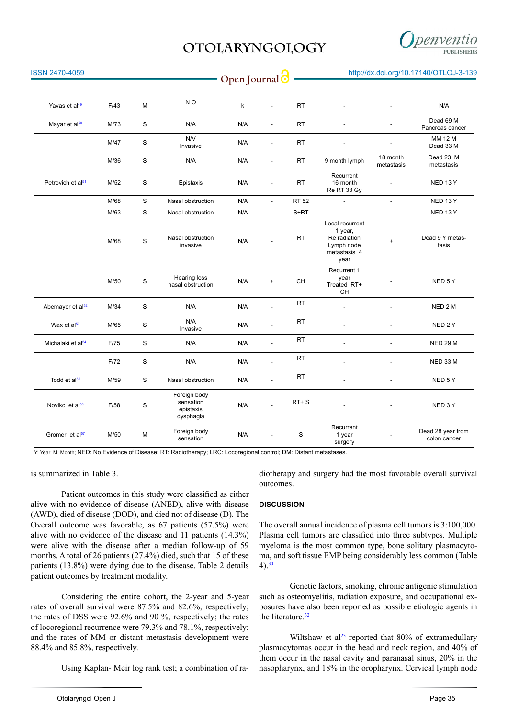

| <b>ISSN 2470-4059</b>         |      |             |                                                     | Open Journal <sup>o</sup> |                          |              |                                                                                  |                          | http://dx.doi.org/10.17140/OTLOJ-3-139 |
|-------------------------------|------|-------------|-----------------------------------------------------|---------------------------|--------------------------|--------------|----------------------------------------------------------------------------------|--------------------------|----------------------------------------|
|                               |      |             |                                                     |                           |                          |              |                                                                                  |                          |                                        |
| Yavas et al <sup>49</sup>     | F/43 | М           | N <sub>O</sub>                                      | k                         | L,                       | <b>RT</b>    |                                                                                  |                          | N/A                                    |
| Mayar et al <sup>50</sup>     | M/73 | S           | N/A                                                 | N/A                       | ÷.                       | <b>RT</b>    |                                                                                  | L.                       | Dead 69 M<br>Pancreas cancer           |
|                               | M/47 | S           | N/V<br>Invasive                                     | N/A                       | $\overline{a}$           | <b>RT</b>    | $\overline{a}$                                                                   | L,                       | MM 12 M<br>Dead 33 M                   |
|                               | M/36 | $\mathbf S$ | N/A                                                 | N/A                       | $\overline{a}$           | <b>RT</b>    | 9 month lymph                                                                    | 18 month<br>metastasis   | Dead 23 M<br>metastasis                |
| Petrovich et al <sup>51</sup> | M/52 | S           | Epistaxis                                           | N/A                       | $\overline{a}$           | <b>RT</b>    | Recurrent<br>16 month<br>Re RT 33 Gy                                             |                          | <b>NED 13 Y</b>                        |
|                               | M/68 | $\mathbf S$ | Nasal obstruction                                   | N/A                       | $\Box$                   | <b>RT 52</b> | $\overline{\phantom{a}}$                                                         | $\overline{\phantom{a}}$ | NED 13 Y                               |
|                               | M/63 | $\mathbf S$ | Nasal obstruction                                   | N/A                       | $\overline{\phantom{a}}$ | $S+RT$       | $\overline{\phantom{a}}$                                                         | $\overline{\phantom{a}}$ | NED 13 Y                               |
|                               | M/68 | S           | Nasal obstruction<br>invasive                       | N/A                       |                          | <b>RT</b>    | Local recurrent<br>1 year,<br>Re radiation<br>Lymph node<br>metastasis 4<br>year | $\ddot{}$                | Dead 9 Y metas-<br>tasis               |
|                               | M/50 | S           | Hearing loss<br>nasal obstruction                   | N/A                       | $\ddot{}$                | CH           | Recurrent 1<br>year<br>Treated RT+<br>CН                                         |                          | NED 5Y                                 |
| Abemayor et al <sup>52</sup>  | M/34 | $\mathbf S$ | N/A                                                 | N/A                       |                          | <b>RT</b>    | L.                                                                               |                          | NED <sub>2</sub> M                     |
| Wax et al <sup>53</sup>       | M/65 | S           | N/A<br>Invasive                                     | N/A                       | $\overline{\phantom{a}}$ | <b>RT</b>    | $\overline{\phantom{a}}$                                                         |                          | NED 2Y                                 |
| Michalaki et al <sup>54</sup> | F/75 | S           | N/A                                                 | N/A                       | L                        | RT           | $\overline{a}$                                                                   |                          | <b>NED 29 M</b>                        |
|                               | F/72 | S           | N/A                                                 | N/A                       | L,                       | <b>RT</b>    |                                                                                  |                          | NED 33 M                               |
| Todd et al <sup>55</sup>      | M/59 | S           | Nasal obstruction                                   | N/A                       | $\overline{a}$           | <b>RT</b>    |                                                                                  |                          | NED 5Y                                 |
| Novikc et al <sup>56</sup>    | F/58 | S           | Foreign body<br>sensation<br>epistaxis<br>dysphagia | N/A                       |                          | $RT + S$     |                                                                                  |                          | NED 3Y                                 |
| Gromer et al <sup>57</sup>    | M/50 | М           | Foreign body<br>sensation                           | N/A                       |                          | S            | Recurrent<br>1 year<br>surgery                                                   |                          | Dead 28 year from<br>colon cancer      |

Y: Year; M: Month; NED: No Evidence of Disease; RT: Radiotherapy; LRC: Locoregional control; DM: Distant metastases.

is summarized in Table 3.

Patient outcomes in this study were classified as either alive with no evidence of disease (ANED), alive with disease (AWD), died of disease (DOD), and died not of disease (D). The Overall outcome was favorable, as 67 patients (57.5%) were alive with no evidence of the disease and 11 patients (14.3%) were alive with the disease after a median follow-up of 59 months. A total of 26 patients (27.4%) died, such that 15 of these patients (13.8%) were dying due to the disease. Table 2 details patient outcomes by treatment modality.

Considering the entire cohort, the 2-year and 5-year rates of overall survival were 87.5% and 82.6%, respectively; the rates of DSS were 92.6% and 90 %, respectively; the rates of locoregional recurrence were 79.3% and 78.1%, respectively; and the rates of MM or distant metastasis development were 88.4% and 85.8%, respectively.

Using Kaplan- Meir log rank test; a combination of ra-

diotherapy and surgery had the most favorable overall survival outcomes.

#### **DISCUSSION**

The overall annual incidence of plasma cell tumors is 3:100,000. Plasma cell tumors are classified into three subtypes. Multiple myeloma is the most common type, bone solitary plasmacytoma, and soft tissue EMP being considerably less common (Table  $(4)$ <sup>[30](#page-9-9)</sup>

Genetic factors, smoking, chronic antigenic stimulation such as osteomyelitis, radiation exposure, and occupational exposures have also been reported as possible etiologic agents in the literature. $32$ 

Wiltshaw et al<sup>[23](#page-9-2)</sup> reported that  $80\%$  of extramedullary plasmacytomas occur in the head and neck region, and 40% of them occur in the nasal cavity and paranasal sinus, 20% in the nasopharynx, and 18% in the oropharynx. Cervical lymph node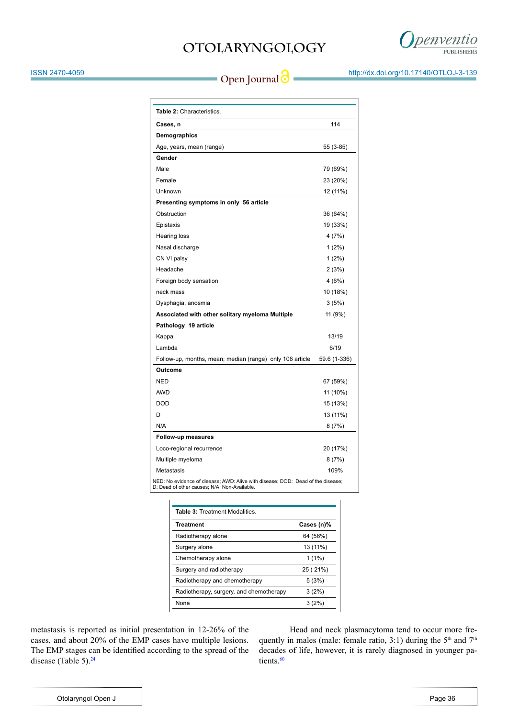

ISSN 2470-4059

**Open Journal @** http://dx.doi.org/10.17140/OTLOJ-3-139

| Table 2: Characteristics.                                                                                                       |              |
|---------------------------------------------------------------------------------------------------------------------------------|--------------|
| Cases, n                                                                                                                        | 114          |
| Demographics                                                                                                                    |              |
| Age, years, mean (range)                                                                                                        | 55 (3-85)    |
| Gender                                                                                                                          |              |
| Male                                                                                                                            | 79 (69%)     |
| Female                                                                                                                          | 23 (20%)     |
| Unknown                                                                                                                         | 12 (11%)     |
| Presenting symptoms in only 56 article                                                                                          |              |
| Obstruction                                                                                                                     | 36 (64%)     |
| Epistaxis                                                                                                                       | 19 (33%)     |
| Hearing loss                                                                                                                    | 4(7%)        |
| Nasal discharge                                                                                                                 | $1(2\%)$     |
| CN VI palsy                                                                                                                     | $1(2\%)$     |
| Headache                                                                                                                        | 2(3%)        |
| Foreign body sensation                                                                                                          | 4(6%)        |
| neck mass                                                                                                                       | 10 (18%)     |
| Dysphagia, anosmia                                                                                                              | 3(5%)        |
| Associated with other solitary myeloma Multiple                                                                                 | 11 (9%)      |
| Pathology 19 article                                                                                                            |              |
| Kappa                                                                                                                           | 13/19        |
| Lambda                                                                                                                          | 6/19         |
| Follow-up, months, mean; median (range) only 106 article                                                                        | 59.6 (1-336) |
| Outcome                                                                                                                         |              |
| <b>NED</b>                                                                                                                      | 67 (59%)     |
| <b>AWD</b>                                                                                                                      | 11 (10%)     |
| <b>DOD</b>                                                                                                                      | 15 (13%)     |
| D                                                                                                                               | 13 (11%)     |
| N/A                                                                                                                             | 8(7%)        |
| Follow-up measures                                                                                                              |              |
| Loco-regional recurrence                                                                                                        | 20 (17%)     |
| Multiple myeloma                                                                                                                | 8(7%)        |
| Metastasis                                                                                                                      | 109%         |
| NED: No evidence of disease; AWD: Alive with disease; DOD: Dead of the disease;<br>D: Dead of other causes; N/A: Non-Available. |              |

| Cases (n)% |
|------------|
| 64 (56%)   |
| 13 (11%)   |
| $1(1\%)$   |
| 25 (21%)   |
| 5(3%)      |
| 3(2%)      |
| 3(2%)      |
|            |

metastasis is reported as initial presentation in 12-26% of the cases, and about 20% of the EMP cases have multiple lesions. The EMP stages can be identified according to the spread of the disease (Table 5). [24](#page-9-3)

Head and neck plasmacytoma tend to occur more frequently in males (male: female ratio, 3:1) during the  $5<sup>th</sup>$  and  $7<sup>th</sup>$ decades of life, however, it is rarely diagnosed in younger pa-tients.<sup>[60](#page-10-14)</sup>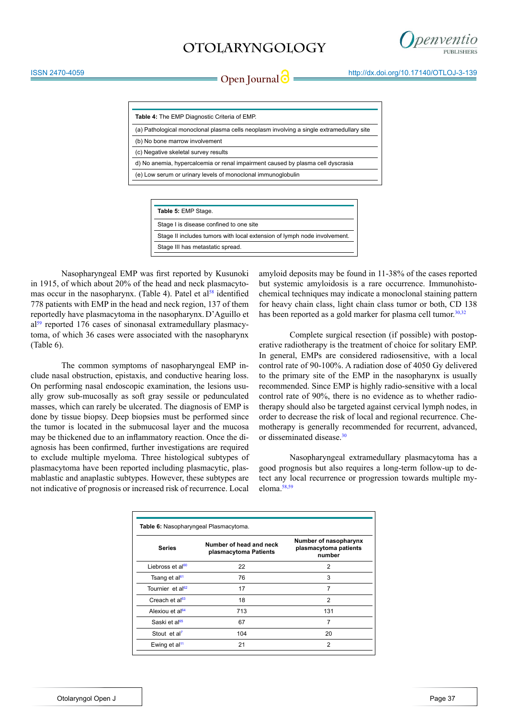

**Open Journal | imperiment in the Contract of the Uppen Journal | imperiment in the Contract of the Contract of the Open Journal of the Uppen Journal of the Uppen Journal of the Uppen Journal of the Uppen Journal of the Up** 

| <b>Table 4:</b> The EMP Diagnostic Criteria of EMP.                                      |
|------------------------------------------------------------------------------------------|
| (a) Pathological monoclonal plasma cells neoplasm involving a single extramedullary site |
| (b) No bone marrow involvement                                                           |
| (c) Negative skeletal survey results                                                     |
| d) No anemia, hypercalcemia or renal impairment caused by plasma cell dyscrasia          |
| (e) Low serum or urinary levels of monoclonal immunoglobulin                             |
|                                                                                          |

| Table 5: EMP Stage.                                                      |
|--------------------------------------------------------------------------|
| Stage I is disease confined to one site                                  |
| Stage II includes tumors with local extension of lymph node involvement. |
| Stage III has metastatic spread.                                         |
|                                                                          |

Nasopharyngeal EMP was first reported by Kusunoki in 1915, of which about 20% of the head and neck plasmacytomas occur in the nasopharynx. (Table 4). Patel et al<sup>58</sup> identified 778 patients with EMP in the head and neck region, 137 of them reportedly have plasmacytoma in the nasopharynx.D'Aguillo et al<sup>59</sup> reported 176 cases of sinonasal extramedullary plasmacytoma, of which 36 cases were associated with the nasopharynx (Table 6).

The common symptoms of nasopharyngeal EMP include nasal obstruction, epistaxis, and conductive hearing loss. On performing nasal endoscopic examination, the lesions usually grow sub-mucosally as soft gray sessile or pedunculated masses, which can rarely be ulcerated. The diagnosis of EMP is done by tissue biopsy. Deep biopsies must be performed since the tumor is located in the submucosal layer and the mucosa may be thickened due to an inflammatory reaction. Once the diagnosis has been confirmed, further investigations are required to exclude multiple myeloma. Three histological subtypes of plasmacytoma have been reported including plasmacytic, plasmablastic and anaplastic subtypes. However, these subtypes are not indicative of prognosis or increased risk of recurrence. Local

amyloid deposits may be found in 11-38% of the cases reported but systemic amyloidosis is a rare occurrence. Immunohistochemical techniques may indicate a monoclonal staining pattern for heavy chain class, light chain class tumor or both, CD 138 has been reported as a gold marker for plasma cell tumor. $30,32$ 

Complete surgical resection (if possible) with postoperative radiotherapy is the treatment of choice for solitary EMP. In general, EMPs are considered radiosensitive, with a local control rate of 90-100%. A radiation dose of 4050 Gy delivered to the primary site of the EMP in the nasopharynx is usually recommended. Since EMP is highly radio-sensitive with a local control rate of 90%, there is no evidence as to whether radiotherapy should also be targeted against cervical lymph nodes, in order to decrease the risk of local and regional recurrence. Chemotherapy is generally recommended for recurrent, advanced, or disseminated disease.[30](#page-9-9)

Nasopharyngeal extramedullary plasmacytoma has a good prognosis but also requires a long-term follow-up to detect any local recurrence or progression towards multiple myeloma.[58,59](#page-10-16)

| Table 6: Nasopharyngeal Plasmacytoma. |                                                  |                                                          |  |  |  |
|---------------------------------------|--------------------------------------------------|----------------------------------------------------------|--|--|--|
| <b>Series</b>                         | Number of head and neck<br>plasmacytoma Patients | Number of nasopharynx<br>plasmacytoma patients<br>number |  |  |  |
| Liebross et al <sup>60</sup>          | 22                                               | $\overline{2}$                                           |  |  |  |
| Tsang et al <sup>61</sup>             | 76                                               | 3                                                        |  |  |  |
| Tournier et al <sup>62</sup>          | 17                                               | 7                                                        |  |  |  |
| Creach et al <sup>63</sup>            | 18                                               | 2                                                        |  |  |  |
| Alexiou et al <sup>64</sup>           | 713                                              | 131                                                      |  |  |  |
| Saski et al <sup>65</sup>             | 67                                               | 7                                                        |  |  |  |
| Stout et al <sup>7</sup>              | 104                                              | 20                                                       |  |  |  |
| Ewing et al <sup>11</sup>             | 21                                               | $\overline{2}$                                           |  |  |  |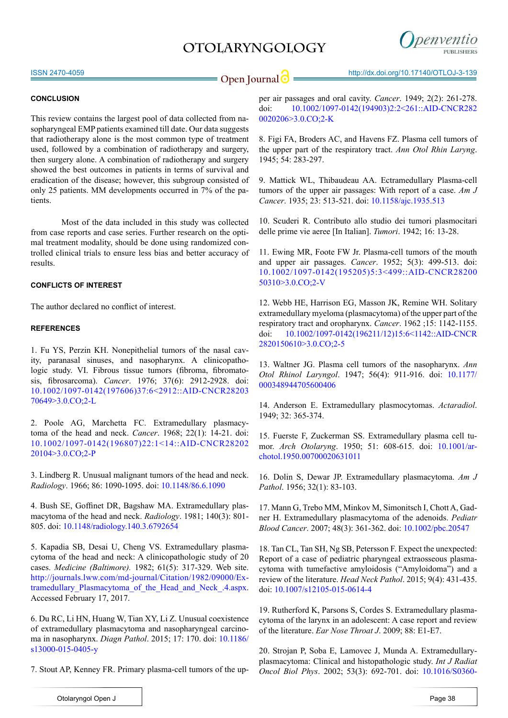

ISSN 2470-4059

### **CONCLUSION**

This review contains the largest pool of data collected from nasopharyngeal EMP patients examined till date. Our data suggests that radiotherapy alone is the most common type of treatment used, followed by a combination of radiotherapy and surgery, then surgery alone. A combination of radiotherapy and surgery showed the best outcomes in patients in terms of survival and eradication of the disease; however, this subgroup consisted of only 25 patients. MM developments occurred in 7% of the patients.

Most of the data included in this study was collected from case reports and case series. Further research on the optimal treatment modality, should be done using randomized controlled clinical trials to ensure less bias and better accuracy of results.

### **CONFLICTS OF INTEREST**

The author declared no conflict of interest.

#### **REFERENCES**

<span id="page-8-0"></span>1. Fu YS, Perzin KH. Nonepithelial tumors of the nasal cavity, paranasal sinuses, and nasopharynx. A clinicopathologic study. VI. Fibrous tissue tumors (fibroma, fibromatosis, fibrosarcoma). *Cancer*. 1976; 37(6): 2912-2928. doi: [10.1002/1097-0142\(197606\)37:6<2912::AID-CNCR28203](http://onlinelibrary.wiley.com/doi/10.1002/1097-0142%28197606%2937:6%253C2912::AID-CNCR2820370649%253E3.0.CO%3B2-L/full) [70649>3.0.CO;2-L](http://onlinelibrary.wiley.com/doi/10.1002/1097-0142%28197606%2937:6%253C2912::AID-CNCR2820370649%253E3.0.CO%3B2-L/full)

<span id="page-8-1"></span>2. Poole AG, Marchetta FC. Extramedullary plasmacytoma of the head and neck. *Cancer*. 1968; 22(1): 14-21. doi: [10.1002/1097-0142\(196807\)22:1<14::AID-CNCR28202](http://onlinelibrary.wiley.com/doi/10.1002/1097-0142%28196807%2922:1%253C14::AID-CNCR2820220104%253E3.0.CO%3B2-P/full) [20104>3.0.CO;2-P](http://onlinelibrary.wiley.com/doi/10.1002/1097-0142%28196807%2922:1%253C14::AID-CNCR2820220104%253E3.0.CO%3B2-P/full)

<span id="page-8-2"></span>3. Lindberg R. Unusual malignant tumors of the head and neck. *Radiology*. 1966; 86: 1090-1095. doi: [10.1148/86.6.1090](http://pubs.rsna.org/doi/abs/10.1148/86.6.1090)

<span id="page-8-3"></span>4. Bush SE, Goffinet DR, Bagshaw MA. Extramedullary plasmacytoma of the head and neck. *Radiology*. 1981; 140(3): 801- 805. doi: [10.1148/radiology.140.3.6792654](http://pubs.rsna.org/doi/abs/10.1148/radiology.140.3.6792654)

<span id="page-8-4"></span>5. Kapadia SB, Desai U, Cheng VS. Extramedullary plasmacytoma of the head and neck: A clinicopathologic study of 20 cases. *Medicine (Baltimore).* 1982; 61(5): 317-329. Web site. [http://journals.lww.com/md-journal/Citation/1982/09000/Ex](http://journals.lww.com/md-journal/Citation/1982/09000/Extramedullary_Plasmacytoma_of_the_Head_and_Neck_.4.aspx)tramedullary Plasmacytoma of the Head and Neck .4.aspx. Accessed February 17, 2017.

<span id="page-8-5"></span>6. Du RC, Li HN, Huang W, Tian XY, Li Z. Unusual coexistence of extramedullary plasmacytoma and nasopharyngeal carcinoma in nasopharynx. *Diagn Pathol*. 2015; 17: 170. doi: [10.1186/](https://www.ncbi.nlm.nih.gov/pubmed/26376733) [s13000-015-0405-y](https://www.ncbi.nlm.nih.gov/pubmed/26376733)

<span id="page-8-6"></span>7. Stout AP, Kenney FR. Primary plasma-cell tumors of the up-

per air passages and oral cavity. *Cancer*. 1949; 2(2): 261-278. doi: [10.1002/1097-0142\(194903\)2:2<261::AID-CNCR282](http://onlinelibrary.wiley.com/doi/10.1002/1097-0142%28194903%292:2%253C261::AID-CNCR2820020206%253E3.0.CO%3B2-K/full) [0020206>3.0.CO;2-K](http://onlinelibrary.wiley.com/doi/10.1002/1097-0142%28194903%292:2%253C261::AID-CNCR2820020206%253E3.0.CO%3B2-K/full)

<span id="page-8-7"></span>8. Figi FA, Broders AC, and Havens FZ. Plasma cell tumors of the upper part of the respiratory tract. *Ann Otol Rhin Laryng*. 1945; 54: 283-297.

<span id="page-8-8"></span>9. Mattick WL, Thibaudeau AA. Ectramedullary Plasma-cell tumors of the upper air passages: With report of a case. *Am J Cancer*. 1935; 23: 513-521. doi: [10.1158/ajc.1935.513](http://cancerres.aacrjournals.org/content/23/3/513)

<span id="page-8-9"></span>10. Scuderi R. Contributo allo studio dei tumori plasmocitari delle prime vie aeree [In Italian]. *Tumori*. 1942; 16: 13-28.

<span id="page-8-10"></span>11. Ewing MR, Foote FW Jr. Plasma-cell tumors of the mouth and upper air passages. *Cancer*. 1952; 5(3): 499-513. doi: [10.1002/1097-0142\(195205\)5:3<499::AID-CNCR28200](http://dx.doi.org/10.1002/1097-0142%28195205%295:3%3C499::AID-CNCR2820050310%3E3.0.CO%3B2-V) [50310>3.0.CO;2-V](http://dx.doi.org/10.1002/1097-0142%28195205%295:3%3C499::AID-CNCR2820050310%3E3.0.CO%3B2-V)

<span id="page-8-11"></span>12. Webb HE, Harrison EG, Masson JK, Remine WH. Solitary extramedullary myeloma (plasmacytoma) of the upper part of the respiratory tract and oropharynx. *Cancer*. 1962 ;15: 1142-1155. doi: [10.1002/1097-0142\(196211/12\)15:6<1142::AID-CNCR](http://dx.doi.org/10.1002/1097-0142%28196211/12%2915:6%3C1142::AID-CNCR2820150610%3E3.0.CO%3B2-5) [2820150610>3.0.CO;2-5](http://dx.doi.org/10.1002/1097-0142%28196211/12%2915:6%3C1142::AID-CNCR2820150610%3E3.0.CO%3B2-5)

<span id="page-8-12"></span>13. Waltner JG. Plasma cell tumors of the nasopharynx. *Ann Otol Rhinol Laryngol*. 1947; 56(4): 911-916. doi: [10.1177/](http://dx.doi.org/10.1177/000348944705600406) [000348944705600406](http://dx.doi.org/10.1177/000348944705600406)

<span id="page-8-13"></span>14. Anderson E. Extramedullary plasmocytomas. *Actaradiol*. 1949; 32: 365-374.

<span id="page-8-14"></span>15. Fuerste F, Zuckerman SS. Extramedullary plasma cell tumor. *Arch Otolaryng*. 1950; 51: 608-615. doi: [10.1001/ar](http://jamanetwork.com/journals/jamaotolaryngology/article-abstract/588009)[chotol.1950.00700020631011](http://jamanetwork.com/journals/jamaotolaryngology/article-abstract/588009)

<span id="page-8-15"></span>16. Dolin S, Dewar JP. Extramedullary plasmacytoma. *Am J Pathol*. 1956; 32(1): 83-103.

<span id="page-8-16"></span>17. Mann G, Trebo MM, Minkov M, Simonitsch I, Chott A, Gadner H. Extramedullary plasmacytoma of the adenoids. *Pediatr Blood Cancer*. 2007; 48(3): 361-362. doi: [10.1002/pbc.20547](http://onlinelibrary.wiley.com/doi/10.1002/pbc.20547/full)

<span id="page-8-17"></span>18. Tan CL, Tan SH, Ng SB, Petersson F. Expect the unexpected: Report of a case of pediatric pharyngeal extraosseous plasmacytoma with tumefactive amyloidosis ("Amyloidoma") and a review of the literature. *Head Neck Pathol*. 2015; 9(4): 431-435. [d](http://dx.doi.org/10.1007/s12105-015-0614-4)oi: [10.1007/s12105-015-0614-4](http://dx.doi.org/10.1007/s12105-015-0614-4)

<span id="page-8-18"></span>19. Rutherford K, Parsons S, Cordes S. Extramedullary plasmacytoma of the larynx in an adolescent: A case report and review of the literature. *Ear Nose Throat J*. 2009; 88: E1-E7.

<span id="page-8-19"></span>20. Strojan P, Soba E, Lamovec J, Munda A. Extramedullaryplasmacytoma: Clinical and histopathologic study. *Int J Radiat Oncol Biol Phys*. 2002; 53(3): 692-701. doi: [10.1016/S0360-](http://www.sciencedirect.com/science/article/pii/S0360301602027803)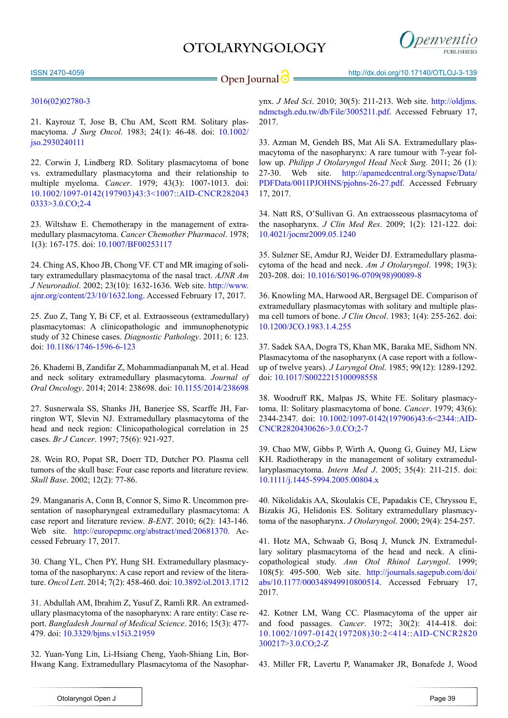

**Open Journal <b>C** = http://dx.doi.org/10.17140/OTLOJ-3-139

### [3016\(02\)02780-3](http://www.sciencedirect.com/science/article/pii/S0360301602027803)

<span id="page-9-0"></span>21. Kayrouz T, Jose B, Chu AM, Scott RM. Solitary plasmacytoma. *J Surg Oncol*. 1983; 24(1): 46-48. doi: [10.1002/](http://onlinelibrary.wiley.com/doi/10.1002/jso.2930240111/full) [jso.2930240111](http://onlinelibrary.wiley.com/doi/10.1002/jso.2930240111/full)

<span id="page-9-1"></span>22. Corwin J, Lindberg RD. Solitary plasmacytoma of bone vs. extramedullary plasmacytoma and their relationship to multiple myeloma. *Cancer*. 1979; 43(3): 1007-1013. doi: [10.1002/1097-0142\(197903\)43:3<1007::AID-CNCR282043](http://onlinelibrary.wiley.com/doi/10.1002/1097-0142%28197903%2943:3%253C1007::AID-CNCR2820430333%253E3.0.CO%3B2-4/full) [0333>3.0.CO;2-4](http://onlinelibrary.wiley.com/doi/10.1002/1097-0142%28197903%2943:3%253C1007::AID-CNCR2820430333%253E3.0.CO%3B2-4/full)

<span id="page-9-2"></span>23. Wiltshaw E. Chemotherapy in the management of extramedullary plasmacytoma. *Cancer Chemother Pharmacol*. 1978; 1(3): 167-175. doi: [10.1007/BF00253117](http://dx.doi.org/10.1007/BF00253117)

<span id="page-9-3"></span>24. Ching AS, Khoo JB, Chong VF. CT and MR imaging of solitary extramedullary plasmacytoma of the nasal tract. *AJNR Am J Neuroradiol*. 2002; 23(10): 1632-1636. Web site. [http://www.](http://www.ajnr.org/content/23/10/1632.long) [ajnr.org/content/23/10/1632.long](http://www.ajnr.org/content/23/10/1632.long). Accessed February 17, 2017.

<span id="page-9-4"></span>25. Zuo Z, Tang Y, Bi CF, et al. Extraosseous (extramedullary) plasmacytomas: A clinicopathologic and immunophenotypic study of 32 Chinese cases. *Diagnostic Pathology*. 2011; 6: 123. doi: [10.1186/1746-1596-6-123](http://dx.doi.org/10.1186/1746-1596-6-123)

<span id="page-9-5"></span>26. Khademi B, Zandifar Z, Mohammadianpanah M, et al. Head and neck solitary extramedullary plasmacytoma. *Journal of Oral Oncology*. 2014; 2014: 238698. doi: [10.1155/2014/238698](https://www.hindawi.com/archive/2014/238698/)

<span id="page-9-6"></span>27. Susnerwala SS, Shanks JH, Banerjee SS, Scarffe JH, Farrington WT, Slevin NJ. Extramedullary plasmacytoma of the head and neck region: Clinicopathological correlation in 25 cases. *Br J Cancer*. 1997; 75(6): 921-927.

<span id="page-9-7"></span>28. Wein RO, Popat SR, Doerr TD, Dutcher PO. Plasma cell tumors of the skull base: Four case reports and literature review. *Skull Base*. 2002; 12(2): 77-86.

<span id="page-9-8"></span>29. Manganaris A, Conn B, Connor S, Simo R. Uncommon presentation of nasopharyngeal extramedullary plasmacytoma: A case report and literature review. *B-ENT*. 2010; 6(2): 143-146. Web site. [http://europepmc.org/abstract/med/20681370.](http://europepmc.org/abstract/med/20681370) Accessed February 17, 2017.

<span id="page-9-9"></span>30. Chang YL, Chen PY, Hung SH. Extramedullary plasmacytoma of the nasopharynx: A case report and review of the literature. *Oncol Lett*. 2014; 7(2): 458-460. doi: [10.3892/ol.2013.1712](https://www.ncbi.nlm.nih.gov/pmc/articles/PMC3881919/)

<span id="page-9-10"></span>31. Abdullah AM, Ibrahim Z, Yusuf Z, Ramli RR. An extramedullary plasmacytoma of the nasopharynx: A rare entity: Case report. *Bangladesh Journal of Medical Science*. 2016; 15(3): 477- 479. doi: [10.3329/bjms.v15i3.21959](http://www.banglajol.info/index.php/BJMS/article/view/21959)

<span id="page-9-11"></span>32. Yuan-Yung Lin, Li-Hsiang Cheng, Yaoh-Shiang Lin, Bor-Hwang Kang. Extramedullary Plasmacytoma of the Nasophar-

ynx. *J Med Sci*. 2010; 30(5): 211-213. Web site. [http://oldjms.](http://oldjms.ndmctsgh.edu.tw/db/File/3005211.pdf) [ndmctsgh.edu.tw/db/File/3005211.pdf](http://oldjms.ndmctsgh.edu.tw/db/File/3005211.pdf). Accessed February 17, 2017.

<span id="page-9-12"></span>33. Azman M, Gendeh BS, Mat Ali SA. Extramedullary plasmacytoma of the nasopharynx: A rare tumour with 7-year follow up. *Philipp J Otolaryngol Head Neck Surg.* 2011; 26 (1): 27-30. Web site. [http://apamedcentral.org/Synapse/Data/](http://apamedcentral.org/Synapse/Data/PDFData/0011PJOHNS/pjohns-26-27.pdf) [PDFData/0011PJOHNS/pjohns-26-27.pdf.](http://apamedcentral.org/Synapse/Data/PDFData/0011PJOHNS/pjohns-26-27.pdf) Accessed February 17, 2017.

<span id="page-9-13"></span>34. Natt RS, O'Sullivan G. An extraosseous plasmacytoma of the nasopharynx. *J Clin Med Res*. 2009; 1(2): 121-122. doi: [10.4021/jocmr2009.05.1240](https://www.ncbi.nlm.nih.gov/pmc/articles/PMC3318855/)

<span id="page-9-14"></span>35. Sulzner SE, Amdur RJ, Weider DJ. Extramedullary plasmacytoma of the head and neck. *Am J Otolaryngol*. 1998; 19(3): 203-208. doi: [10.1016/S0196-0709\(98\)90089-8](http://www.sciencedirect.com/science/article/pii/S0196070998900898)

<span id="page-9-15"></span>36. Knowling MA, Harwood AR, Bergsagel DE. Comparison of extramedullary plasmacytomas with solitary and multiple plasma cell tumors of bone. *J Clin Oncol*. 1983; 1(4): 255-262. doi: [10.1200/JCO.1983.1.4.255](http://ascopubs.org/doi/abs/10.1200/jco.1983.1.4.255)

<span id="page-9-16"></span>37. Sadek SAA, Dogra TS, Khan MK, Baraka ME, Sidhom NN. Plasmacytoma of the nasopharynx (A case report with a followup of twelve years). *J Laryngol Otol*. 1985; 99(12): 1289-1292. doi: [10.1017/S0022215100098558](https://doi.org/10.1017/S0022215100098558) 

<span id="page-9-17"></span>38. Woodruff RK, Malpas JS, White FE. Solitary plasmacytoma. II: Solitary plasmacytoma of bone. *Cancer*. 1979; 43(6): 2344-2347. doi: [10.1002/1097-0142\(197906\)43:6<2344::AID-](http://dx.doi.org/10.1002/1097-0142%28197906%2943:6%3C2344::AID-CNCR2820430626%3E3.0.CO%3B2-7)[CNCR2820430626>3.0.CO;2-7](http://dx.doi.org/10.1002/1097-0142%28197906%2943:6%3C2344::AID-CNCR2820430626%3E3.0.CO%3B2-7)

<span id="page-9-18"></span>39. Chao MW, Gibbs P, Wirth A, Quong G, Guiney MJ, Liew KH. Radiotherapy in the management of solitary extramedullaryplasmacytoma. *Intern Med J*. 2005; 35(4): 211-215. doi: [10.1111/j.1445-5994.2005.00804.x](http://onlinelibrary.wiley.com/doi/10.1111/j.1445-5994.2005.00804.x/full)

<span id="page-9-19"></span>40. Nikolidakis AA, Skoulakis CE, Papadakis CE, Chryssou E, Bizakis JG, Helidonis ES. Solitary extramedullary plasmacytoma of the nasopharynx. *J Otolaryngol*. 2000; 29(4): 254-257.

<span id="page-9-20"></span>41. Hotz MA, Schwaab G, Bosq J, Munck JN. Extramedullary solitary plasmacytoma of the head and neck. A clinicopathological study. *Ann Otol Rhinol Laryngol*. 1999; 108(5): 495-500. Web site. [http://journals.sagepub.com/doi/](http://journals.sagepub.com/doi/abs/10.1177/000348949910800514) [abs/10.1177/000348949910800514.](http://journals.sagepub.com/doi/abs/10.1177/000348949910800514) Accessed February 17, 2017.

<span id="page-9-21"></span>42. Kotner LM, Wang CC. Plasmacytoma of the upper air and food passages. *Cancer*. 1972; 30(2): 414-418. doi: [10.1002/1097-0142\(197208\)30:2<414::AID-CNCR2820](http://dx.doi.org/10.1002/1097-0142%28197208%2930:2%3C414::AID-CNCR2820300217%3E3.0.CO%3B2-Z) [300217>3.0.CO;2-Z](http://dx.doi.org/10.1002/1097-0142%28197208%2930:2%3C414::AID-CNCR2820300217%3E3.0.CO%3B2-Z)

<span id="page-9-22"></span>43. Miller FR, Lavertu P, Wanamaker JR, Bonafede J, Wood